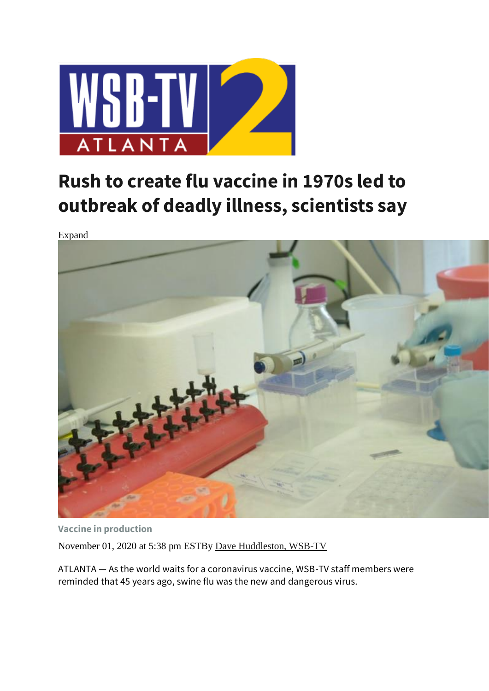

## **Rush to create flu vaccine in 1970s led to outbreak of deadly illness, scientists say**

Expand



**Vaccine in production** November 01, 2020 at 5:38 pm ESTBy [Dave Huddleston, WSB-TV](https://www.wsbtv.com/author/dave-huddleston/)

ATLANTA — As the world waits for a coronavirus vaccine, WSB-TV staff members were reminded that 45 years ago, swine flu was the new and dangerous virus.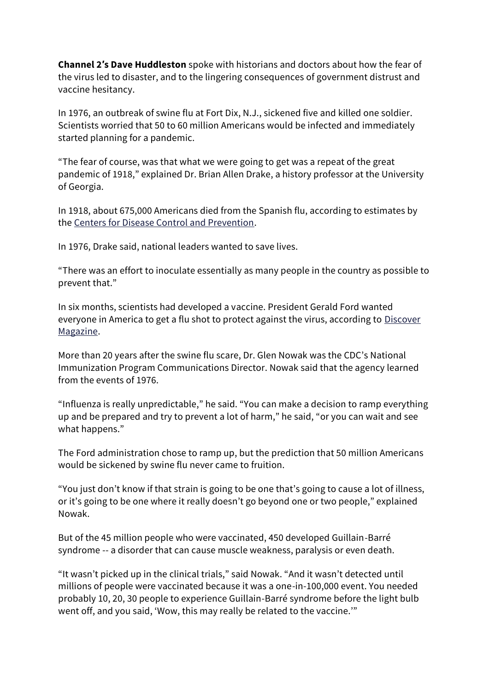**Channel 2′s Dave Huddleston** spoke with historians and doctors about how the fear of the virus led to disaster, and to the lingering consequences of government distrust and vaccine hesitancy.

In 1976, an outbreak of swine flu at Fort Dix, N.J., sickened five and killed one soldier. Scientists worried that 50 to 60 million Americans would be infected and immediately started planning for a pandemic.

"The fear of course, was that what we were going to get was a repeat of the great pandemic of 1918," explained Dr. Brian Allen Drake, a history professor at the University of Georgia.

In 1918, about 675,000 Americans died from the Spanish flu, according to estimates by the [Centers for Disease Control and Prevention.](https://www.cdc.gov/flu/pandemic-resources/1918-pandemic-h1n1.html#:~:text=The%20number%20of%20deaths%20was,occurring%20in%20the%20United%20States.)

In 1976, Drake said, national leaders wanted to save lives.

"There was an effort to inoculate essentially as many people in the country as possible to prevent that."

In six months, scientists had developed a vaccine. President Gerald Ford wanted everyone in America to get a flu shot to protect against the virus, according to [Discover](https://www.discovermagazine.com/health/the-public-health-legacy-of-the-1976-swine-flu-outbreak#.WJDt3vkrKCh) [Magazine.](https://www.discovermagazine.com/health/the-public-health-legacy-of-the-1976-swine-flu-outbreak#.WJDt3vkrKCh)

More than 20 years after the swine flu scare, Dr. Glen Nowak was the CDC's National Immunization Program Communications Director. Nowak said that the agency learned from the events of 1976.

"Influenza is really unpredictable," he said. "You can make a decision to ramp everything up and be prepared and try to prevent a lot of harm," he said, "or you can wait and see what happens."

The Ford administration chose to ramp up, but the prediction that 50 million Americans would be sickened by swine flu never came to fruition.

"You just don't know if that strain is going to be one that's going to cause a lot of illness, or it's going to be one where it really doesn't go beyond one or two people," explained Nowak.

But of the 45 million people who were vaccinated, 450 developed Guillain-Barré syndrome -- a disorder that can cause muscle weakness, paralysis or even death.

"It wasn't picked up in the clinical trials," said Nowak. "And it wasn't detected until millions of people were vaccinated because it was a one-in-100,000 event. You needed probably 10, 20, 30 people to experience Guillain-Barré syndrome before the light bulb went off, and you said, 'Wow, this may really be related to the vaccine.'"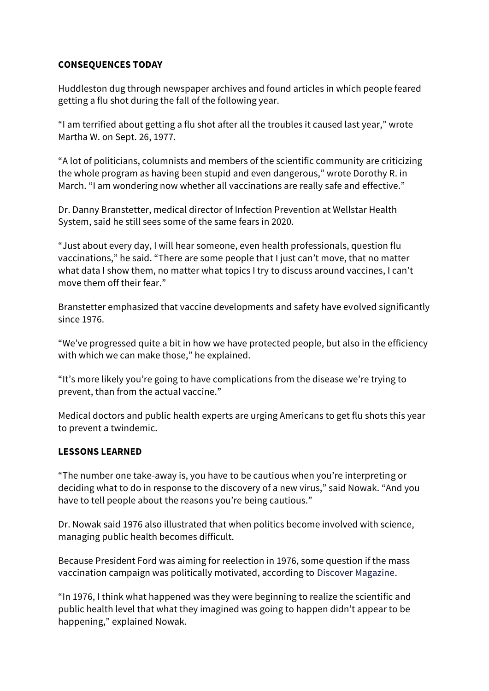## **CONSEQUENCES TODAY**

Huddleston dug through newspaper archives and found articles in which people feared getting a flu shot during the fall of the following year.

"I am terrified about getting a flu shot after all the troubles it caused last year," wrote Martha W. on Sept. 26, 1977.

"A lot of politicians, columnists and members of the scientific community are criticizing the whole program as having been stupid and even dangerous," wrote Dorothy R. in March. "I am wondering now whether all vaccinations are really safe and effective."

Dr. Danny Branstetter, medical director of Infection Prevention at Wellstar Health System, said he still sees some of the same fears in 2020.

"Just about every day, I will hear someone, even health professionals, question flu vaccinations," he said. "There are some people that I just can't move, that no matter what data I show them, no matter what topics I try to discuss around vaccines, I can't move them off their fear."

Branstetter emphasized that vaccine developments and safety have evolved significantly since 1976.

"We've progressed quite a bit in how we have protected people, but also in the efficiency with which we can make those," he explained.

"It's more likely you're going to have complications from the disease we're trying to prevent, than from the actual vaccine."

Medical doctors and public health experts are urging Americans to get flu shots this year to prevent a twindemic.

## **LESSONS LEARNED**

"The number one take-away is, you have to be cautious when you're interpreting or deciding what to do in response to the discovery of a new virus," said Nowak. "And you have to tell people about the reasons you're being cautious."

Dr. Nowak said 1976 also illustrated that when politics become involved with science, managing public health becomes difficult.

Because President Ford was aiming for reelection in 1976, some question if the mass vaccination campaign was politically motivated, according to [Discover Magazine.](https://www.discovermagazine.com/health/the-public-health-legacy-of-the-1976-swine-flu-outbreak#.WJDt3vkrKCh)

"In 1976, I think what happened was they were beginning to realize the scientific and public health level that what they imagined was going to happen didn't appear to be happening," explained Nowak.